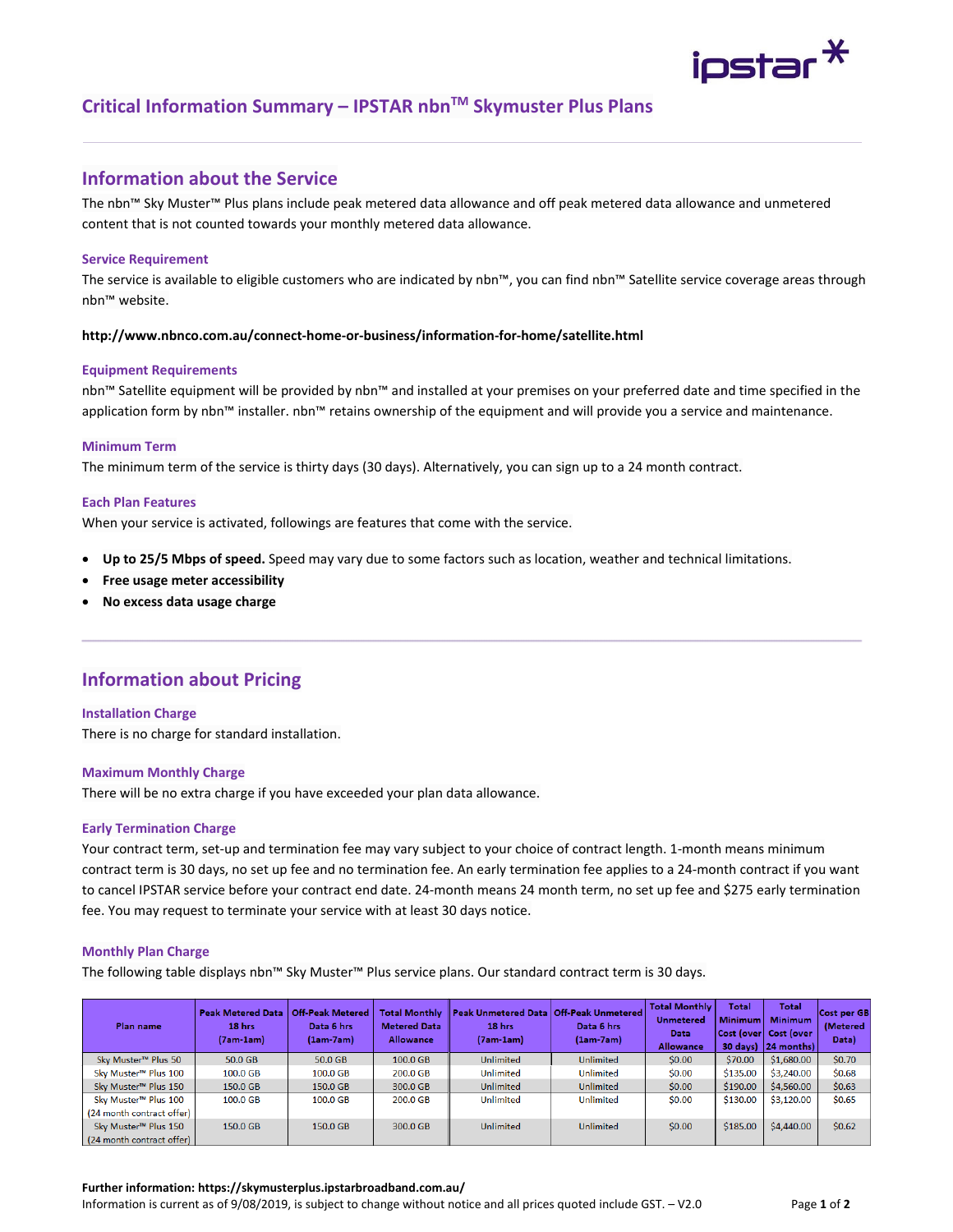

# **Critical Information Summary – IPSTAR nbnTM Skymuster Plus Plans**

### **Information about the Service**

The nbn™ Sky Muster™ Plus plans include peak metered data allowance and off peak metered data allowance and unmetered content that is not counted towards your monthly metered data allowance.

#### **Service Requirement**

The service is available to eligible customers who are indicated by nbn™, you can find nbn™ Satellite service coverage areas through nbn™ website.

#### **http://www.nbnco.com.au/connect‐home‐or‐business/information‐for‐home/satellite.html**

#### **Equipment Requirements**

nbn™ Satellite equipment will be provided by nbn™ and installed at your premises on your preferred date and time specified in the application form by nbn™ installer. nbn™ retains ownership of the equipment and will provide you a service and maintenance.

#### **Minimum Term**

The minimum term of the service is thirty days (30 days). Alternatively, you can sign up to a 24 month contract.

### **Each Plan Features**

When your service is activated, followings are features that come with the service.

- **Up to 25/5 Mbps of speed.** Speed may vary due to some factors such as location, weather and technical limitations.
- **Free usage meter accessibility**
- **No excess data usage charge**

## **Information about Pricing**

#### **Installation Charge**

There is no charge for standard installation.

#### **Maximum Monthly Charge**

There will be no extra charge if you have exceeded your plan data allowance.

#### **Early Termination Charge**

Your contract term, set‐up and termination fee may vary subject to your choice of contract length. 1‐month means minimum contract term is 30 days, no set up fee and no termination fee. An early termination fee applies to a 24-month contract if you want to cancel IPSTAR service before your contract end date. 24‐month means 24 month term, no set up fee and \$275 early termination fee. You may request to terminate your service with at least 30 days notice.

#### **Monthly Plan Charge**

The following table displays nbn™ Sky Muster™ Plus service plans. Our standard contract term is 30 days.

| Plan name                        | <b>Peak Metered Data</b><br>18 hrs<br>$(7am-1am)$ | <b>Off-Peak Metered</b><br>Data 6 hrs<br>$(1am-7am)$ | <b>Total Monthly</b><br><b>Metered Data</b><br><b>Allowance</b> | <b>Peak Unmetered Data</b><br>18 hrs<br>(7am-1am) | Off-Peak Unmetered<br>Data 6 hrs<br>$(1am-7am)$ | <b>Total Monthly</b><br><b>Unmetered</b><br>Data<br><b>Allowance</b> | Total<br><b>Minimum</b><br>30 days) | Total<br><b>Minimum</b><br>Cost (over Cost (over<br>24 months) | Cost per GB<br>(Metered<br>Data) |
|----------------------------------|---------------------------------------------------|------------------------------------------------------|-----------------------------------------------------------------|---------------------------------------------------|-------------------------------------------------|----------------------------------------------------------------------|-------------------------------------|----------------------------------------------------------------|----------------------------------|
| Sky Muster™ Plus 50              | 50.0 GB                                           | 50.0 GB                                              | 100.0 GB                                                        | <b>Unlimited</b>                                  | <b>Unlimited</b>                                | \$0.00                                                               | \$70.00                             | \$1,680.00                                                     | \$0.70                           |
| Sky Muster <sup>™</sup> Plus 100 | 100.0 GB                                          | 100.0 GB                                             | 200.0 GB                                                        | <b>Unlimited</b>                                  | <b>Unlimited</b>                                | \$0.00                                                               | \$135.00                            | \$3,240.00                                                     | \$0.68                           |
| Sky Muster <sup>™</sup> Plus 150 | 150.0 GB                                          | 150.0 GB                                             | 300.0 GB                                                        | <b>Unlimited</b>                                  | <b>Unlimited</b>                                | \$0.00                                                               | \$190.00                            | \$4,560.00                                                     | \$0.63                           |
| Sky Muster <sup>™</sup> Plus 100 | 100.0 GB                                          | 100.0 GB                                             | 200.0 GB                                                        | Unlimited                                         | <b>Unlimited</b>                                | \$0.00                                                               | \$130.00                            | \$3,120.00                                                     | \$0.65                           |
| (24 month contract offer)        |                                                   |                                                      |                                                                 |                                                   |                                                 |                                                                      |                                     |                                                                |                                  |
| Sky Muster <sup>™</sup> Plus 150 | 150.0 GB                                          | 150.0 GB                                             | 300.0 GB                                                        | <b>Unlimited</b>                                  | <b>Unlimited</b>                                | \$0.00                                                               | \$185.00                            | \$4,440.00                                                     | \$0.62                           |
| (24 month contract offer)        |                                                   |                                                      |                                                                 |                                                   |                                                 |                                                                      |                                     |                                                                |                                  |

#### **Further information: https://skymusterplus.ipstarbroadband.com.au/**

Information is current as of 9/08/2019, is subject to change without notice and all prices quoted include GST. – V2.0 Page **1** of **2**